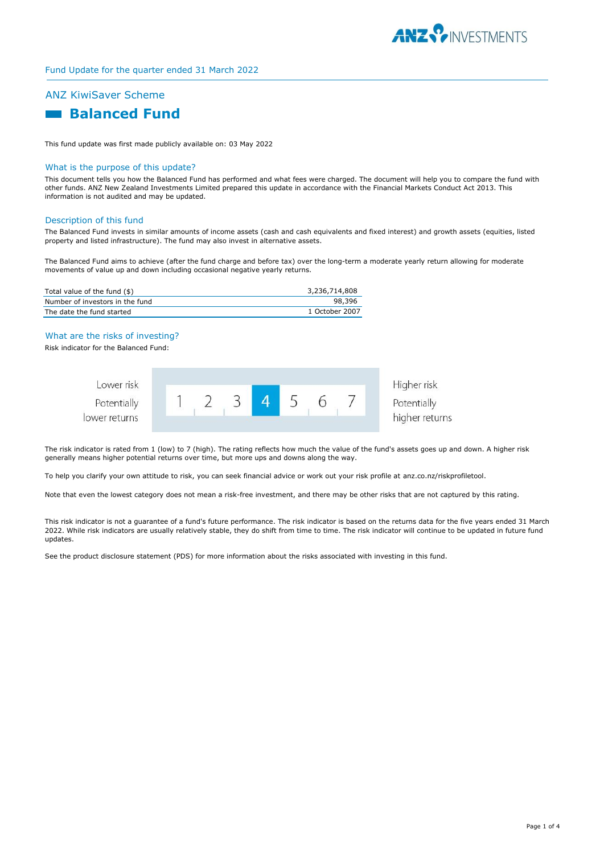

# ANZ KiwiSaver Scheme

# **Ralanced Fund**

This fund update was first made publicly available on: 03 May 2022

## What is the purpose of this update?

This document tells you how the Balanced Fund has performed and what fees were charged. The document will help you to compare the fund with other funds. ANZ New Zealand Investments Limited prepared this update in accordance with the Financial Markets Conduct Act 2013. This information is not audited and may be updated.

# Description of this fund

The Balanced Fund invests in similar amounts of income assets (cash and cash equivalents and fixed interest) and growth assets (equities, listed property and listed infrastructure). The fund may also invest in alternative assets.

The Balanced Fund aims to achieve (after the fund charge and before tax) over the long-term a moderate yearly return allowing for moderate movements of value up and down including occasional negative yearly returns.

| Total value of the fund (\$)    | 3,236,714,808  |
|---------------------------------|----------------|
| Number of investors in the fund | 98.396         |
| The date the fund started       | 1 October 2007 |

# What are the risks of investing?

Risk indicator for the Balanced Fund:



The risk indicator is rated from 1 (low) to 7 (high). The rating reflects how much the value of the fund's assets goes up and down. A higher risk generally means higher potential returns over time, but more ups and downs along the way.

To help you clarify your own attitude to risk, you can seek financial advice or work out your risk profile at anz.co.nz/riskprofiletool.

Note that even the lowest category does not mean a risk-free investment, and there may be other risks that are not captured by this rating.

This risk indicator is not a guarantee of a fund's future performance. The risk indicator is based on the returns data for the five years ended 31 March 2022. While risk indicators are usually relatively stable, they do shift from time to time. The risk indicator will continue to be updated in future fund updates.

See the product disclosure statement (PDS) for more information about the risks associated with investing in this fund.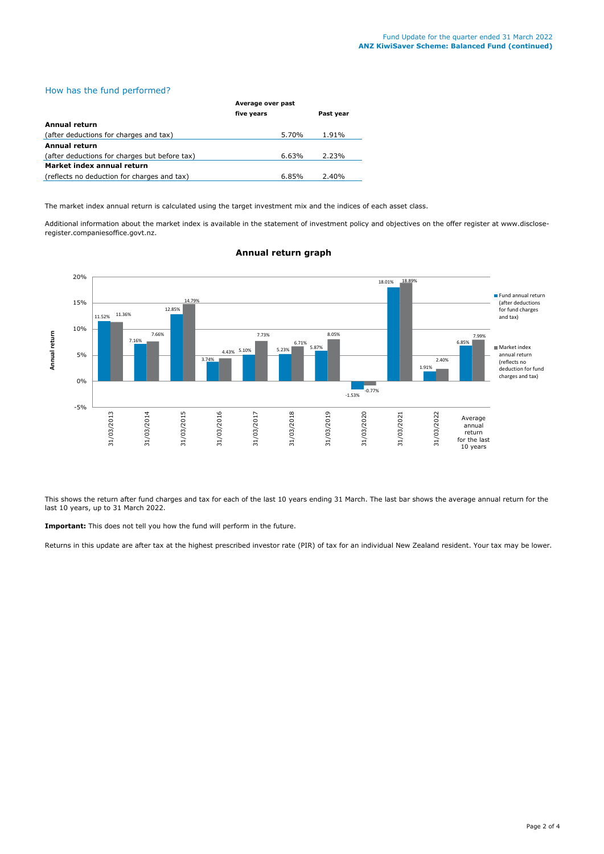# How has the fund performed?

|                                               | Average over past |           |  |
|-----------------------------------------------|-------------------|-----------|--|
|                                               | five years        | Past year |  |
| <b>Annual return</b>                          |                   |           |  |
| (after deductions for charges and tax)        | 5.70%             | 1.91%     |  |
| <b>Annual return</b>                          |                   |           |  |
| (after deductions for charges but before tax) | 6.63%             | 2.23%     |  |
| Market index annual return                    |                   |           |  |
| (reflects no deduction for charges and tax)   | 6.85%             | 2.40%     |  |

The market index annual return is calculated using the target investment mix and the indices of each asset class.

Additional information about the market index is available in the statement of investment policy and objectives on the offer register at www.discloseregister.companiesoffice.govt.nz.



# **Annual return graph**

This shows the return after fund charges and tax for each of the last 10 years ending 31 March. The last bar shows the average annual return for the last 10 years, up to 31 March 2022.

**Important:** This does not tell you how the fund will perform in the future.

Returns in this update are after tax at the highest prescribed investor rate (PIR) of tax for an individual New Zealand resident. Your tax may be lower.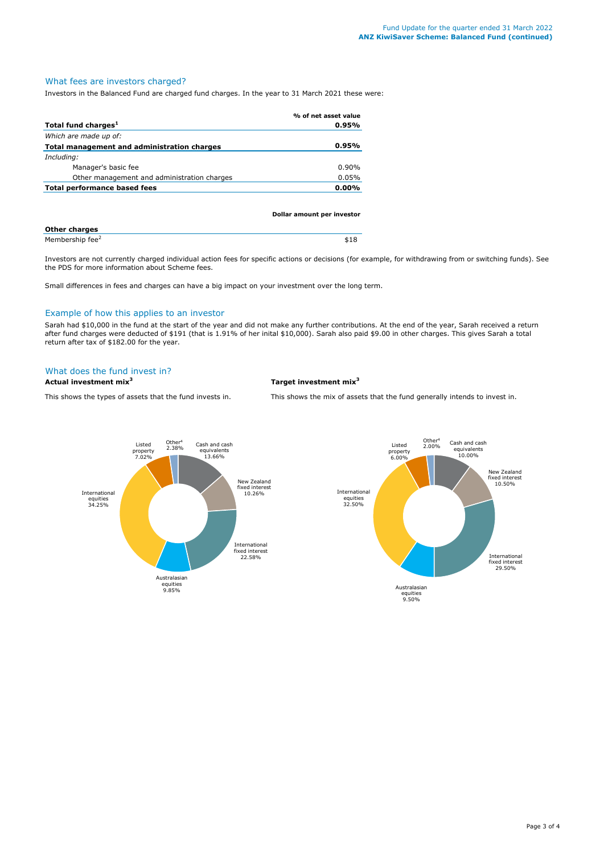# What fees are investors charged?

Investors in the Balanced Fund are charged fund charges. In the year to 31 March 2021 these were:

|                                             | % of net asset value |
|---------------------------------------------|----------------------|
| Total fund charges <sup>1</sup>             | $0.95\%$             |
| Which are made up of:                       |                      |
| Total management and administration charges | $0.95\%$             |
| Including:                                  |                      |
| Manager's basic fee                         | $0.90\%$             |
| Other management and administration charges | 0.05%                |
| Total performance based fees                | $0.00\%$             |
|                                             |                      |

|                             | Dollar amount per investor |
|-----------------------------|----------------------------|
| <b>Other charges</b>        |                            |
| Membership fee <sup>2</sup> | \$18                       |

Investors are not currently charged individual action fees for specific actions or decisions (for example, for withdrawing from or switching funds). See the PDS for more information about Scheme fees.

Small differences in fees and charges can have a big impact on your investment over the long term.

# Example of how this applies to an investor

Sarah had \$10,000 in the fund at the start of the year and did not make any further contributions. At the end of the year, Sarah received a return after fund charges were deducted of \$191 (that is 1.91% of her inital \$10,000). Sarah also paid \$9.00 in other charges. This gives Sarah a total return after tax of \$182.00 for the year.

# What does the fund invest in?

**Actual investment mix<sup>3</sup> Target investment mix<sup>3</sup>**

This shows the types of assets that the fund invests in. This shows the mix of assets that the fund generally intends to invest in.